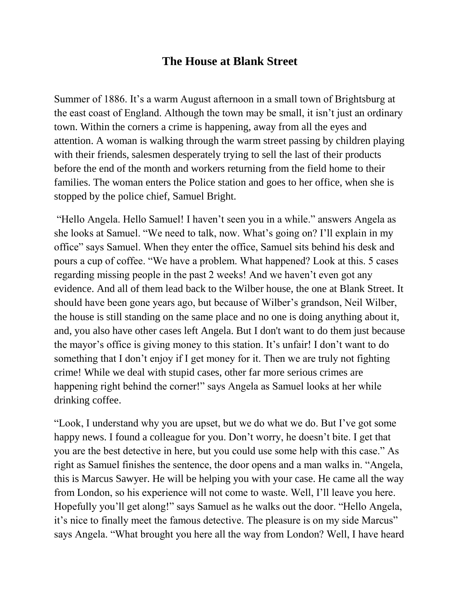## **The House at Blank Street**

Summer of 1886. It's a warm August afternoon in a small town of Brightsburg at the east coast of England. Although the town may be small, it isn't just an ordinary town. Within the corners a crime is happening, away from all the eyes and attention. A woman is walking through the warm street passing by children playing with their friends, salesmen desperately trying to sell the last of their products before the end of the month and workers returning from the field home to their families. The woman enters the Police station and goes to her office, when she is stopped by the police chief, Samuel Bright.

"Hello Angela. Hello Samuel! I haven't seen you in a while." answers Angela as she looks at Samuel. "We need to talk, now. What's going on? I'll explain in my office" says Samuel. When they enter the office, Samuel sits behind his desk and pours a cup of coffee. "We have a problem. What happened? Look at this. 5 cases regarding missing people in the past 2 weeks! And we haven't even got any evidence. And all of them lead back to the Wilber house, the one at Blank Street. It should have been gone years ago, but because of Wilber's grandson, Neil Wilber, the house is still standing on the same place and no one is doing anything about it, and, you also have other cases left Angela. But I don't want to do them just because the mayor's office is giving money to this station. It's unfair! I don't want to do something that I don't enjoy if I get money for it. Then we are truly not fighting crime! While we deal with stupid cases, other far more serious crimes are happening right behind the corner!" says Angela as Samuel looks at her while drinking coffee.

"Look, I understand why you are upset, but we do what we do. But I've got some happy news. I found a colleague for you. Don't worry, he doesn't bite. I get that you are the best detective in here, but you could use some help with this case." As right as Samuel finishes the sentence, the door opens and a man walks in. "Angela, this is Marcus Sawyer. He will be helping you with your case. He came all the way from London, so his experience will not come to waste. Well, I'll leave you here. Hopefully you'll get along!" says Samuel as he walks out the door. "Hello Angela, it's nice to finally meet the famous detective. The pleasure is on my side Marcus" says Angela. "What brought you here all the way from London? Well, I have heard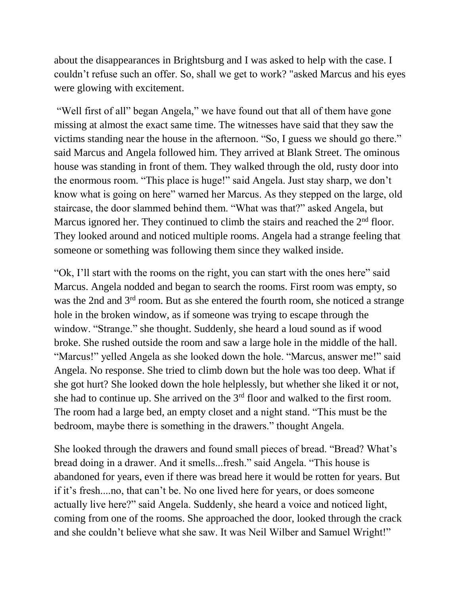about the disappearances in Brightsburg and I was asked to help with the case. I couldn't refuse such an offer. So, shall we get to work? "asked Marcus and his eyes were glowing with excitement.

"Well first of all" began Angela," we have found out that all of them have gone missing at almost the exact same time. The witnesses have said that they saw the victims standing near the house in the afternoon. "So, I guess we should go there." said Marcus and Angela followed him. They arrived at Blank Street. The ominous house was standing in front of them. They walked through the old, rusty door into the enormous room. "This place is huge!" said Angela. Just stay sharp, we don't know what is going on here" warned her Marcus. As they stepped on the large, old staircase, the door slammed behind them. "What was that?" asked Angela, but Marcus ignored her. They continued to climb the stairs and reached the  $2<sup>nd</sup>$  floor. They looked around and noticed multiple rooms. Angela had a strange feeling that someone or something was following them since they walked inside.

"Ok, I'll start with the rooms on the right, you can start with the ones here" said Marcus. Angela nodded and began to search the rooms. First room was empty, so was the 2nd and 3rd room. But as she entered the fourth room, she noticed a strange hole in the broken window, as if someone was trying to escape through the window. "Strange." she thought. Suddenly, she heard a loud sound as if wood broke. She rushed outside the room and saw a large hole in the middle of the hall. "Marcus!" yelled Angela as she looked down the hole. "Marcus, answer me!" said Angela. No response. She tried to climb down but the hole was too deep. What if she got hurt? She looked down the hole helplessly, but whether she liked it or not, she had to continue up. She arrived on the 3rd floor and walked to the first room. The room had a large bed, an empty closet and a night stand. "This must be the bedroom, maybe there is something in the drawers." thought Angela.

She looked through the drawers and found small pieces of bread. "Bread? What's bread doing in a drawer. And it smells...fresh." said Angela. "This house is abandoned for years, even if there was bread here it would be rotten for years. But if it's fresh....no, that can't be. No one lived here for years, or does someone actually live here?" said Angela. Suddenly, she heard a voice and noticed light, coming from one of the rooms. She approached the door, looked through the crack and she couldn't believe what she saw. It was Neil Wilber and Samuel Wright!"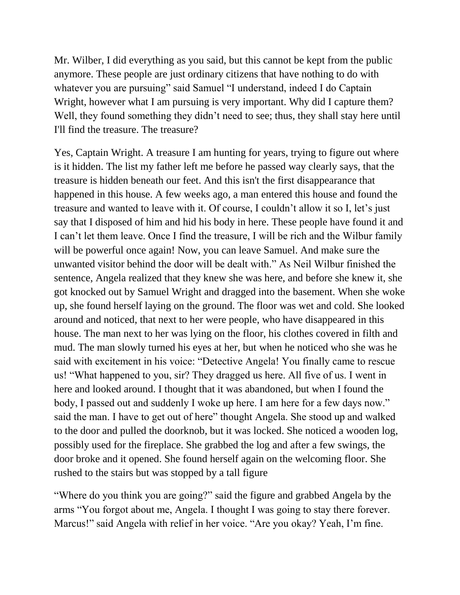Mr. Wilber, I did everything as you said, but this cannot be kept from the public anymore. These people are just ordinary citizens that have nothing to do with whatever you are pursuing" said Samuel "I understand, indeed I do Captain Wright, however what I am pursuing is very important. Why did I capture them? Well, they found something they didn't need to see; thus, they shall stay here until I'll find the treasure. The treasure?

Yes, Captain Wright. A treasure I am hunting for years, trying to figure out where is it hidden. The list my father left me before he passed way clearly says, that the treasure is hidden beneath our feet. And this isn't the first disappearance that happened in this house. A few weeks ago, a man entered this house and found the treasure and wanted to leave with it. Of course, I couldn't allow it so I, let's just say that I disposed of him and hid his body in here. These people have found it and I can't let them leave. Once I find the treasure, I will be rich and the Wilbur family will be powerful once again! Now, you can leave Samuel. And make sure the unwanted visitor behind the door will be dealt with." As Neil Wilbur finished the sentence, Angela realized that they knew she was here, and before she knew it, she got knocked out by Samuel Wright and dragged into the basement. When she woke up, she found herself laying on the ground. The floor was wet and cold. She looked around and noticed, that next to her were people, who have disappeared in this house. The man next to her was lying on the floor, his clothes covered in filth and mud. The man slowly turned his eyes at her, but when he noticed who she was he said with excitement in his voice: "Detective Angela! You finally came to rescue us! "What happened to you, sir? They dragged us here. All five of us. I went in here and looked around. I thought that it was abandoned, but when I found the body, I passed out and suddenly I woke up here. I am here for a few days now." said the man. I have to get out of here" thought Angela. She stood up and walked to the door and pulled the doorknob, but it was locked. She noticed a wooden log, possibly used for the fireplace. She grabbed the log and after a few swings, the door broke and it opened. She found herself again on the welcoming floor. She rushed to the stairs but was stopped by a tall figure

"Where do you think you are going?" said the figure and grabbed Angela by the arms "You forgot about me, Angela. I thought I was going to stay there forever. Marcus!" said Angela with relief in her voice. "Are you okay? Yeah, I'm fine.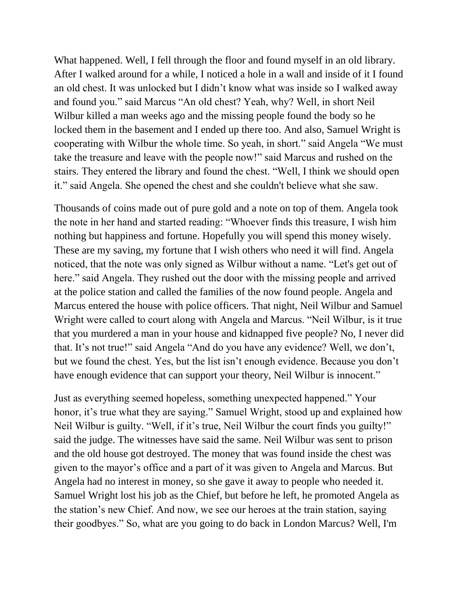What happened. Well, I fell through the floor and found myself in an old library. After I walked around for a while, I noticed a hole in a wall and inside of it I found an old chest. It was unlocked but I didn't know what was inside so I walked away and found you." said Marcus "An old chest? Yeah, why? Well, in short Neil Wilbur killed a man weeks ago and the missing people found the body so he locked them in the basement and I ended up there too. And also, Samuel Wright is cooperating with Wilbur the whole time. So yeah, in short." said Angela "We must take the treasure and leave with the people now!" said Marcus and rushed on the stairs. They entered the library and found the chest. "Well, I think we should open it." said Angela. She opened the chest and she couldn't believe what she saw.

Thousands of coins made out of pure gold and a note on top of them. Angela took the note in her hand and started reading: "Whoever finds this treasure, I wish him nothing but happiness and fortune. Hopefully you will spend this money wisely. These are my saving, my fortune that I wish others who need it will find. Angela noticed, that the note was only signed as Wilbur without a name. "Let's get out of here." said Angela. They rushed out the door with the missing people and arrived at the police station and called the families of the now found people. Angela and Marcus entered the house with police officers. That night, Neil Wilbur and Samuel Wright were called to court along with Angela and Marcus. "Neil Wilbur, is it true that you murdered a man in your house and kidnapped five people? No, I never did that. It's not true!" said Angela "And do you have any evidence? Well, we don't, but we found the chest. Yes, but the list isn't enough evidence. Because you don't have enough evidence that can support your theory, Neil Wilbur is innocent."

Just as everything seemed hopeless, something unexpected happened." Your honor, it's true what they are saying." Samuel Wright, stood up and explained how Neil Wilbur is guilty. "Well, if it's true, Neil Wilbur the court finds you guilty!" said the judge. The witnesses have said the same. Neil Wilbur was sent to prison and the old house got destroyed. The money that was found inside the chest was given to the mayor's office and a part of it was given to Angela and Marcus. But Angela had no interest in money, so she gave it away to people who needed it. Samuel Wright lost his job as the Chief, but before he left, he promoted Angela as the station's new Chief. And now, we see our heroes at the train station, saying their goodbyes." So, what are you going to do back in London Marcus? Well, I'm